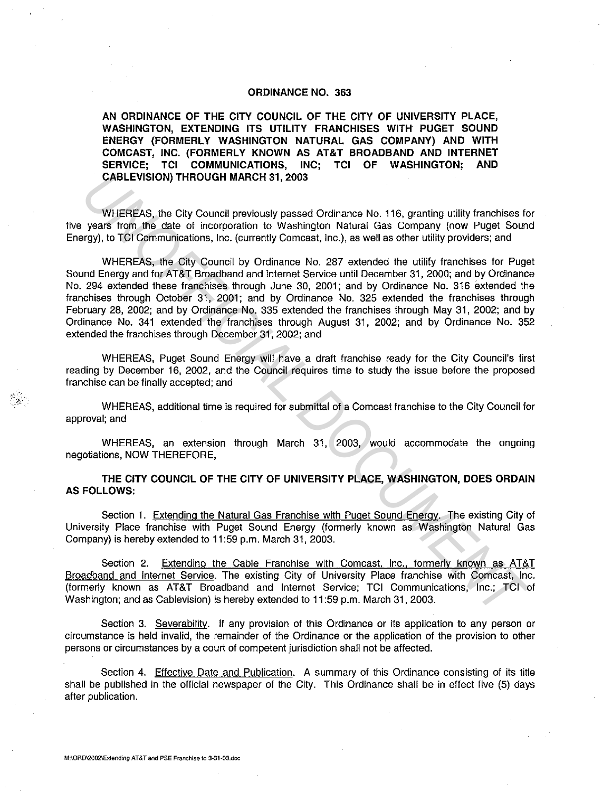## ORDINANCE NO. 363

AN ORDINANCE OF THE CITY COUNCIL OF THE CITY OF UNIVERSITY PLACE, WASHINGTON, EXTENDING ITS UTILITY FRANCHISES WITH PUGET SOUND ENERGY (FORMERLY WASHINGTON NATURAL GAS COMPANY) AND WITH COMCAST, INC. (FORMERLY KNOWN AS AT&T BROADBAND AND INTERNET SERVICE; TCI COMMUNICATIONS, INC; TCI OF WASHINGTON; AND CABLEVISION) THROUGH MARCH 31, 2003

WHEREAS, the City Council previously passed Ordinance No. 116, granting utility franchises for five years from the date of incorporation to Washington Natural Gas Company (now Puget Sound Energy), to TCI Communications, Inc. (currently Comcast, Inc.), as well as other utility providers; and

WHEREAS, the City Council by Ordinance No. 287 extended the utility franchises for Puget Sound Energy and for AT&T Broadband and Internet Service until December 31, 2000; and by Ordinance No. 294 extended these franchises through June 30, 2001; and by Ordinance No. 316 extended the franchises through October 31, 2001; and by Ordinance No. 325 extended the franchises through February 28, 2002; and by Ordinance No. 335 extended the franchises through May 31, 2002; and by Ordinance No. 341 extended the franchises through August 31, 2002; and by Ordinance No. 352 extended the franchises through December 31, 2002; and **CABLEVISION) THROUGH MARCH 31, 2003**<br>
WHEREAS, the City Council previously passed Ordinance No. 116, granting utility franchises to<br>
years from the date of incorporation to Washington Natural Gas Company (now Puge! Source

WHEREAS, Puget Sound Energy will have a draft franchise ready for the City Council's first reading by December 16, 2002, and the Council requires time to study the issue before the proposed franchise can be finally accepted; and

WHEREAS, additional time is required for submittal of a Comcast franchise to the City Council for approval; and

WHEREAS, an extension through March 31, 2003, would accommodate the ongoing negotiations, NOW THEREFORE,

## THE CITY COUNCIL OF THE CITY OF UNIVERSITY PLACE, WASHINGTON, DOES ORDAIN AS FOLLOWS:

Section 1. Extending the Natural Gas Franchise with Puget Sound Energy. The existing City of University Place franchise with Puget Sound Energy {formerly known as Washington Natural Gas Company) is hereby extended to 11 :59 p.m. March 31, 2003.

Section 2. Extending the Cable Franchise with Comcast, Inc., formerly known as AT&T Broadband and Internet Service. The existing City of University Place franchise with Comcast, Inc. {formerly known as AT&T Broadband and Internet Service; TCI Communications, Inc.; TCI of Washington; and as Cablevision) is hereby extended to 11 :59 p.m. March 31, 2003.

Section 3. Severability. If any provision of this Ordinance or its application to any person or circumstance is held invalid, the remainder of the Ordinance or the application of the provision to other persons or circumstances by a court of competent jurisdiction shall not be affected.

Section 4. Effective Date and Publication. A summary of this Ordinance consisting of its title shall be published in the official newspaper of the City. This Ordinance shall be in effect five (5) days after publication.